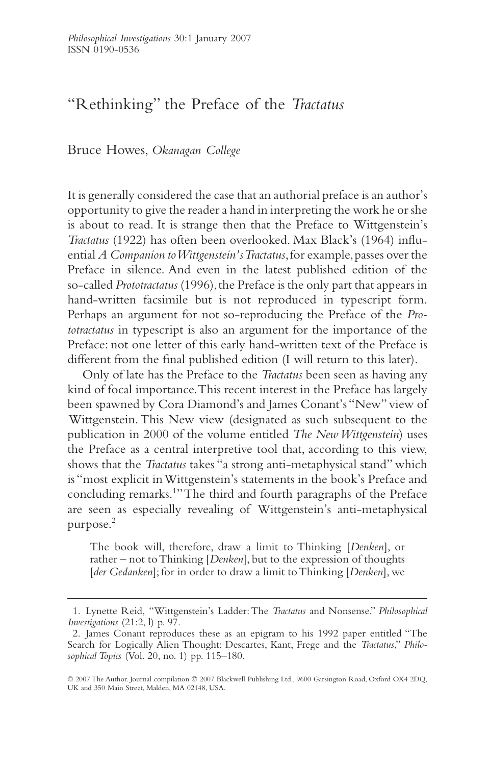# "Rethinking" the Preface of the *Tractatus*

Bruce Howes, *Okanagan College*

It is generally considered the case that an authorial preface is an author's opportunity to give the reader a hand in interpreting the work he or she is about to read. It is strange then that the Preface to Wittgenstein's *Tractatus* (1922) has often been overlooked. Max Black's (1964) influential *A Companion to Wittgenstein's Tractatus*, for example, passes over the Preface in silence. And even in the latest published edition of the so-called *Prototractatus* (1996), the Preface is the only part that appears in hand-written facsimile but is not reproduced in typescript form. Perhaps an argument for not so-reproducing the Preface of the *Prototractatus* in typescript is also an argument for the importance of the Preface: not one letter of this early hand-written text of the Preface is different from the final published edition (I will return to this later).

Only of late has the Preface to the *Tractatus* been seen as having any kind of focal importance.This recent interest in the Preface has largely been spawned by Cora Diamond's and James Conant's "New" view of Wittgenstein. This New view (designated as such subsequent to the publication in 2000 of the volume entitled *The New Wittgenstein*) uses the Preface as a central interpretive tool that, according to this view, shows that the *Tractatus* takes "a strong anti-metaphysical stand" which is "most explicit inWittgenstein's statements in the book's Preface and concluding remarks.<sup>1</sup>"The third and fourth paragraphs of the Preface are seen as especially revealing of Wittgenstein's anti-metaphysical purpose.2

The book will, therefore, draw a limit to Thinking [*Denken*], or rather – not toThinking [*Denken*], but to the expression of thoughts [der Gedanken]; for in order to draw a limit to Thinking [Denken], we

<sup>1.</sup> Lynette Reid, "Wittgenstein's Ladder: The *Tractatus* and Nonsense." *Philosophical Investigations* (21:2, l) p. 97.

<sup>2.</sup> James Conant reproduces these as an epigram to his 1992 paper entitled "The Search for Logically Alien Thought: Descartes, Kant, Frege and the *Tractatus*," *Philosophical Topics* (Vol. 20, no. 1) pp. 115–180.

<sup>© 2007</sup> The Author. Journal compilation © 2007 Blackwell Publishing Ltd., 9600 Garsington Road, Oxford OX4 2DQ, UK and 350 Main Street, Malden, MA 02148, USA.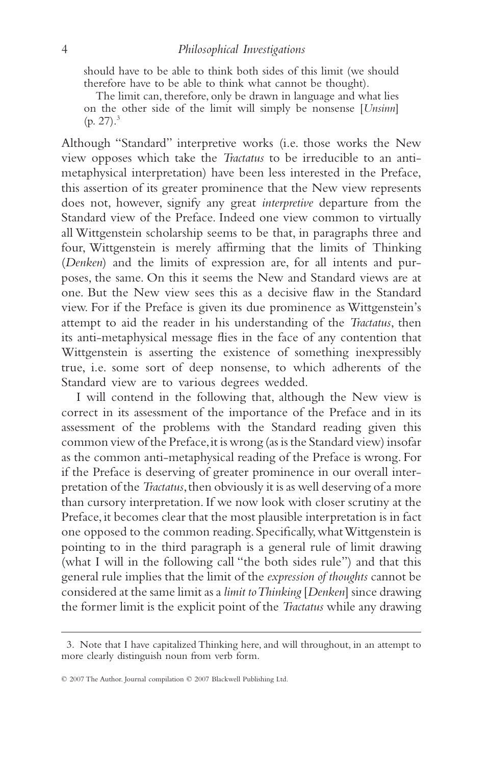should have to be able to think both sides of this limit (we should therefore have to be able to think what cannot be thought).

The limit can, therefore, only be drawn in language and what lies on the other side of the limit will simply be nonsense [*Unsinn*]  $(p. 27).$ <sup>3</sup>

Although "Standard" interpretive works (i.e. those works the New view opposes which take the *Tractatus* to be irreducible to an antimetaphysical interpretation) have been less interested in the Preface, this assertion of its greater prominence that the New view represents does not, however, signify any great *interpretive* departure from the Standard view of the Preface. Indeed one view common to virtually all Wittgenstein scholarship seems to be that, in paragraphs three and four, Wittgenstein is merely affirming that the limits of Thinking (*Denken*) and the limits of expression are, for all intents and purposes, the same. On this it seems the New and Standard views are at one. But the New view sees this as a decisive flaw in the Standard view. For if the Preface is given its due prominence as Wittgenstein's attempt to aid the reader in his understanding of the *Tractatus*, then its anti-metaphysical message flies in the face of any contention that Wittgenstein is asserting the existence of something inexpressibly true, i.e. some sort of deep nonsense, to which adherents of the Standard view are to various degrees wedded.

I will contend in the following that, although the New view is correct in its assessment of the importance of the Preface and in its assessment of the problems with the Standard reading given this common view of the Preface,it is wrong (as is the Standard view) insofar as the common anti-metaphysical reading of the Preface is wrong. For if the Preface is deserving of greater prominence in our overall interpretation of the *Tractatus*, then obviously it is as well deserving of a more than cursory interpretation. If we now look with closer scrutiny at the Preface, it becomes clear that the most plausible interpretation is in fact one opposed to the common reading.Specifically,whatWittgenstein is pointing to in the third paragraph is a general rule of limit drawing (what I will in the following call "the both sides rule") and that this general rule implies that the limit of the *expression of thoughts* cannot be considered at the same limit as a*limit toThinking* [*Denken*] since drawing the former limit is the explicit point of the *Tractatus* while any drawing

<sup>3.</sup> Note that I have capitalized Thinking here, and will throughout, in an attempt to more clearly distinguish noun from verb form.

<sup>© 2007</sup> The Author. Journal compilation © 2007 Blackwell Publishing Ltd.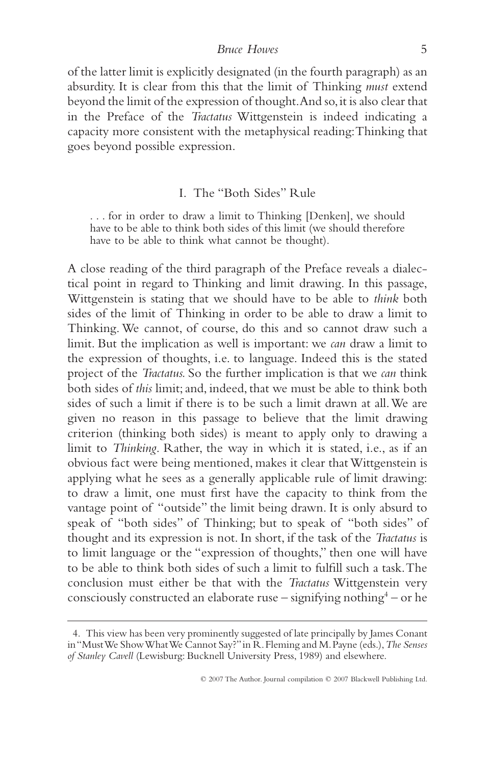*Bruce Howes* 5

of the latter limit is explicitly designated (in the fourth paragraph) as an absurdity. It is clear from this that the limit of Thinking *must* extend beyond the limit of the expression of thought. And so, it is also clear that in the Preface of the *Tractatus* Wittgenstein is indeed indicating a capacity more consistent with the metaphysical reading:Thinking that goes beyond possible expression.

## I. The "Both Sides" Rule

. . . for in order to draw a limit to Thinking [Denken], we should have to be able to think both sides of this limit (we should therefore have to be able to think what cannot be thought).

A close reading of the third paragraph of the Preface reveals a dialectical point in regard to Thinking and limit drawing. In this passage, Wittgenstein is stating that we should have to be able to *think* both sides of the limit of Thinking in order to be able to draw a limit to Thinking. We cannot, of course, do this and so cannot draw such a limit. But the implication as well is important: we *can* draw a limit to the expression of thoughts, i.e. to language. Indeed this is the stated project of the *Tractatus.* So the further implication is that we *can* think both sides of *this* limit; and, indeed, that we must be able to think both sides of such a limit if there is to be such a limit drawn at all.We are given no reason in this passage to believe that the limit drawing criterion (thinking both sides) is meant to apply only to drawing a limit to *Thinking*. Rather, the way in which it is stated, i.e., as if an obvious fact were being mentioned, makes it clear that Wittgenstein is applying what he sees as a generally applicable rule of limit drawing: to draw a limit, one must first have the capacity to think from the vantage point of "outside" the limit being drawn. It is only absurd to speak of "both sides" of Thinking; but to speak of "both sides" of thought and its expression is not. In short, if the task of the *Tractatus* is to limit language or the "expression of thoughts," then one will have to be able to think both sides of such a limit to fulfill such a task.The conclusion must either be that with the *Tractatus* Wittgenstein very consciously constructed an elaborate ruse – signifying nothing  $4$  – or he

<sup>4.</sup> This view has been very prominently suggested of late principally by James Conant in"MustWe ShowWhatWe Cannot Say?"in R.Fleming and M.Payne (eds.),*The Senses of Stanley Cavell* (Lewisburg: Bucknell University Press, 1989) and elsewhere.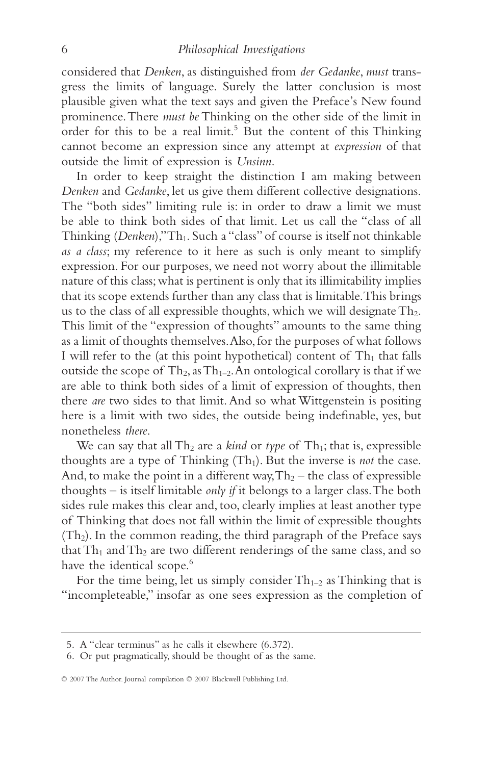considered that *Denken*, as distinguished from *der Gedanke*, *must* transgress the limits of language. Surely the latter conclusion is most plausible given what the text says and given the Preface's New found prominence.There *must be* Thinking on the other side of the limit in order for this to be a real limit.<sup>5</sup> But the content of this Thinking cannot become an expression since any attempt at *expression* of that outside the limit of expression is *Unsinn*.

In order to keep straight the distinction I am making between *Denken* and *Gedanke*, let us give them different collective designations. The "both sides" limiting rule is: in order to draw a limit we must be able to think both sides of that limit. Let us call the "class of all Thinking (*Denken*),"Th<sub>1</sub>. Such a "class" of course is itself not thinkable *as a class*; my reference to it here as such is only meant to simplify expression. For our purposes, we need not worry about the illimitable nature of this class;what is pertinent is only that its illimitability implies that its scope extends further than any class that is limitable.This brings us to the class of all expressible thoughts, which we will designate  $Th<sub>2</sub>$ . This limit of the "expression of thoughts" amounts to the same thing as a limit of thoughts themselves.Also,for the purposes of what follows I will refer to the (at this point hypothetical) content of  $Th_1$  that falls outside the scope of  $Th_2$ , as  $Th_{1-2}$ . An ontological corollary is that if we are able to think both sides of a limit of expression of thoughts, then there *are* two sides to that limit.And so what Wittgenstein is positing here is a limit with two sides, the outside being indefinable, yes, but nonetheless *there*.

We can say that all  $Th_2$  are a *kind* or *type* of  $Th_1$ ; that is, expressible thoughts are a type of Thinking (Th1). But the inverse is *not* the case. And, to make the point in a different way,  $Th_2$  – the class of expressible thoughts – is itself limitable *only if* it belongs to a larger class.The both sides rule makes this clear and, too, clearly implies at least another type of Thinking that does not fall within the limit of expressible thoughts  $(Th<sub>2</sub>)$ . In the common reading, the third paragraph of the Preface says that  $Th_1$  and  $Th_2$  are two different renderings of the same class, and so have the identical scope.<sup>6</sup>

For the time being, let us simply consider  $Th_{1-2}$  as Thinking that is "incompleteable," insofar as one sees expression as the completion of

<sup>5.</sup> A "clear terminus" as he calls it elsewhere (6.372).

<sup>6.</sup> Or put pragmatically, should be thought of as the same.

<sup>© 2007</sup> The Author. Journal compilation © 2007 Blackwell Publishing Ltd.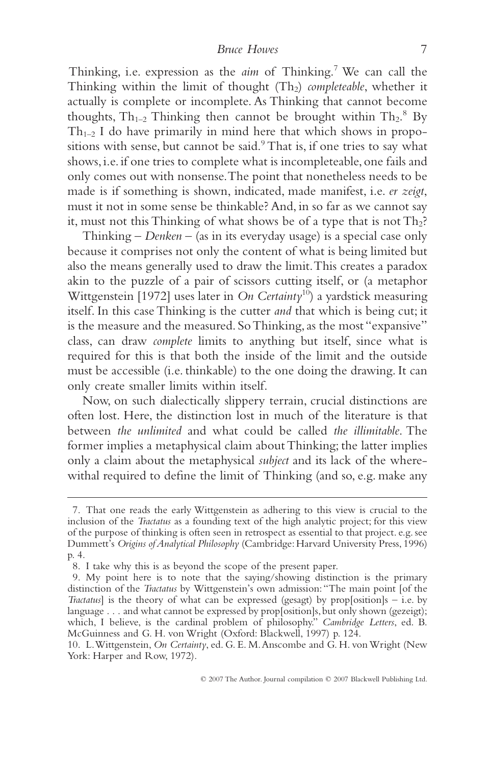Thinking, i.e. expression as the *aim* of Thinking.7 We can call the Thinking within the limit of thought (Th<sub>2</sub>) *completeable*, whether it actually is complete or incomplete. As Thinking that cannot become thoughts,  $Th_{1-2}$  Thinking then cannot be brought within  $Th_2$ .<sup>8</sup> By  $Th_{1-2}$  I do have primarily in mind here that which shows in propositions with sense, but cannot be said.<sup>9</sup> That is, if one tries to say what shows, i.e. if one tries to complete what is incompleteable, one fails and only comes out with nonsense.The point that nonetheless needs to be made is if something is shown, indicated, made manifest, i.e. *er zeigt*, must it not in some sense be thinkable? And, in so far as we cannot say it, must not this Thinking of what shows be of a type that is not  $Th<sub>2</sub>$ ?

Thinking – *Denken* – (as in its everyday usage) is a special case only because it comprises not only the content of what is being limited but also the means generally used to draw the limit.This creates a paradox akin to the puzzle of a pair of scissors cutting itself, or (a metaphor Wittgenstein [1972] uses later in *On Certainty*<sup>10</sup>) a yardstick measuring itself. In this case Thinking is the cutter *and* that which is being cut; it is the measure and the measured. SoThinking, as the most "expansive" class, can draw *complete* limits to anything but itself, since what is required for this is that both the inside of the limit and the outside must be accessible (i.e. thinkable) to the one doing the drawing. It can only create smaller limits within itself.

Now, on such dialectically slippery terrain, crucial distinctions are often lost. Here, the distinction lost in much of the literature is that between *the unlimited* and what could be called *the illimitable*. The former implies a metaphysical claim about Thinking; the latter implies only a claim about the metaphysical *subject* and its lack of the wherewithal required to define the limit of Thinking (and so, e.g. make any

<sup>7.</sup> That one reads the early Wittgenstein as adhering to this view is crucial to the inclusion of the *Tractatus* as a founding text of the high analytic project; for this view of the purpose of thinking is often seen in retrospect as essential to that project. e.g. see Dummett's *Origins of Analytical Philosophy* (Cambridge: Harvard University Press, 1996) p. 4.

<sup>8.</sup> I take why this is as beyond the scope of the present paper.

<sup>9.</sup> My point here is to note that the saying/showing distinction is the primary distinction of the *Tractatus* by Wittgenstein's own admission:"The main point [of the *Tractatus*] is the theory of what can be expressed (gesagt) by prop[osition]s – i.e. by language . . . and what cannot be expressed by prop[osition]s, but only shown (gezeigt); which, I believe, is the cardinal problem of philosophy." *Cambridge Letters*, ed. B. McGuinness and G. H. von Wright (Oxford: Blackwell, 1997) p. 124.

<sup>10.</sup> L.Wittgenstein, *On Certainty*, ed. G. E. M.Anscombe and G. H. von Wright (New York: Harper and Row, 1972).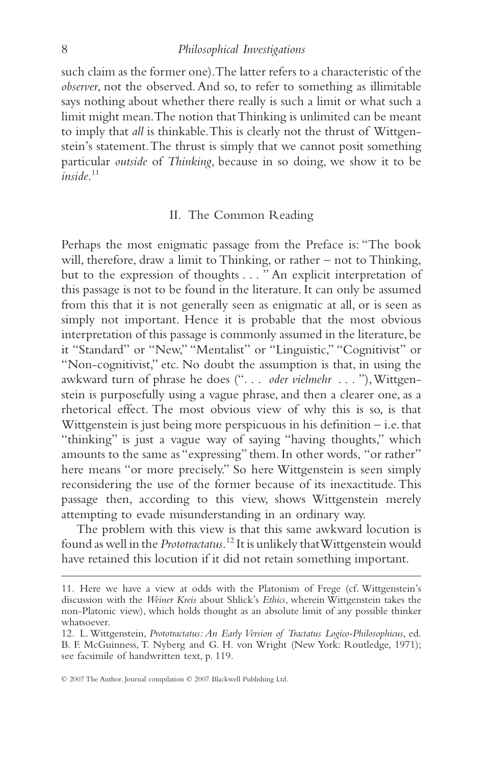such claim as the former one).The latter refers to a characteristic of the *observer*, not the observed. And so, to refer to something as illimitable says nothing about whether there really is such a limit or what such a limit might mean.The notion thatThinking is unlimited can be meant to imply that *all* is thinkable.This is clearly not the thrust of Wittgenstein's statement.The thrust is simply that we cannot posit something particular *outside* of *Thinking*, because in so doing, we show it to be *inside*. 11

## II. The Common Reading

Perhaps the most enigmatic passage from the Preface is: "The book will, therefore, draw a limit to Thinking, or rather – not to Thinking, but to the expression of thoughts . . . " An explicit interpretation of this passage is not to be found in the literature. It can only be assumed from this that it is not generally seen as enigmatic at all, or is seen as simply not important. Hence it is probable that the most obvious interpretation of this passage is commonly assumed in the literature, be it "Standard" or "New," "Mentalist" or "Linguistic," "Cognitivist" or "Non-cognitivist," etc. No doubt the assumption is that, in using the awkward turn of phrase he does (". . . *oder vielmehr* . . . "),Wittgenstein is purposefully using a vague phrase, and then a clearer one, as a rhetorical effect. The most obvious view of why this is so, is that Wittgenstein is just being more perspicuous in his definition  $-$  i.e. that "thinking" is just a vague way of saying "having thoughts," which amounts to the same as "expressing" them. In other words, "or rather" here means "or more precisely." So here Wittgenstein is seen simply reconsidering the use of the former because of its inexactitude.This passage then, according to this view, shows Wittgenstein merely attempting to evade misunderstanding in an ordinary way.

The problem with this view is that this same awkward locution is found as well in the *Prototractatus*. <sup>12</sup> It is unlikely thatWittgenstein would have retained this locution if it did not retain something important.

<sup>11.</sup> Here we have a view at odds with the Platonism of Frege (cf. Wittgenstein's discussion with the *Weiner Kreis* about Shlick's *Ethics*, wherein Wittgenstein takes the non-Platonic view), which holds thought as an absolute limit of any possible thinker whatsoever.

<sup>12.</sup> L. Wittgenstein, *Prototractatus: An Early Version of Tractatus Logico-Philosophicus*, ed. B. F. McGuinness, T. Nyberg and G. H. von Wright (New York: Routledge, 1971); see facsimile of handwritten text, p. 119.

<sup>© 2007</sup> The Author. Journal compilation © 2007 Blackwell Publishing Ltd.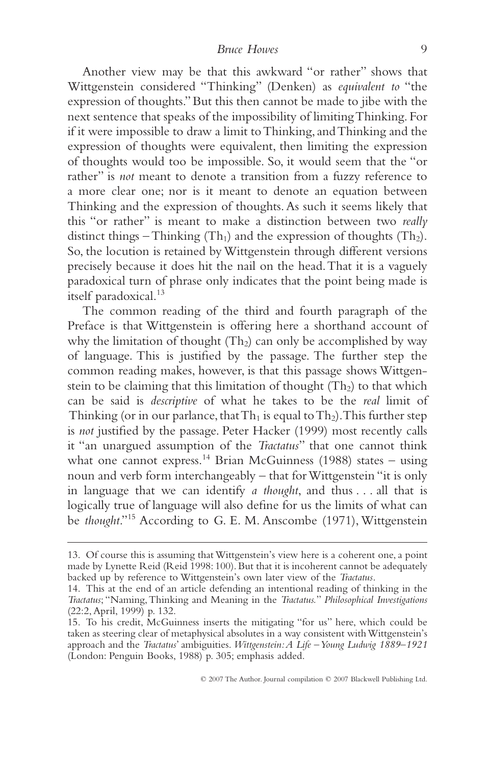Another view may be that this awkward "or rather" shows that Wittgenstein considered "Thinking" (Denken) as *equivalent to* "the expression of thoughts." But this then cannot be made to jibe with the next sentence that speaks of the impossibility of limitingThinking. For if it were impossible to draw a limit toThinking, andThinking and the expression of thoughts were equivalent, then limiting the expression of thoughts would too be impossible. So, it would seem that the "or rather" is *not* meant to denote a transition from a fuzzy reference to a more clear one; nor is it meant to denote an equation between Thinking and the expression of thoughts. As such it seems likely that this "or rather" is meant to make a distinction between two *really* distinct things – Thinking (Th<sub>1</sub>) and the expression of thoughts (Th<sub>2</sub>). So, the locution is retained by Wittgenstein through different versions precisely because it does hit the nail on the head.That it is a vaguely paradoxical turn of phrase only indicates that the point being made is itself paradoxical.<sup>13</sup>

The common reading of the third and fourth paragraph of the Preface is that Wittgenstein is offering here a shorthand account of why the limitation of thought  $(Th_2)$  can only be accomplished by way of language. This is justified by the passage. The further step the common reading makes, however, is that this passage shows Wittgenstein to be claiming that this limitation of thought  $(Th<sub>2</sub>)$  to that which can be said is *descriptive* of what he takes to be the *real* limit of Thinking (or in our parlance, that  $Th_1$  is equal to  $Th_2$ ). This further step is *not* justified by the passage. Peter Hacker (1999) most recently calls it "an unargued assumption of the *Tractatus*" that one cannot think what one cannot express.<sup>14</sup> Brian McGuinness (1988) states – using noun and verb form interchangeably – that forWittgenstein "it is only in language that we can identify *a thought*, and thus . . . all that is logically true of language will also define for us the limits of what can be *thought*."15 According to G. E. M. Anscombe (1971), Wittgenstein

<sup>13.</sup> Of course this is assuming that Wittgenstein's view here is a coherent one, a point made by Lynette Reid (Reid 1998: 100). But that it is incoherent cannot be adequately backed up by reference to Wittgenstein's own later view of the *Tractatus*.

<sup>14.</sup> This at the end of an article defending an intentional reading of thinking in the *Tractatus*; "Naming,Thinking and Meaning in the *Tractatus.*" *Philosophical Investigations* (22:2, April, 1999) p. 132.

<sup>15.</sup> To his credit, McGuinness inserts the mitigating "for us" here, which could be taken as steering clear of metaphysical absolutes in a way consistent with Wittgenstein's approach and the *Tractatus*' ambiguities. *Wittgenstein:A Life –Young Ludwig 1889–1921* (London: Penguin Books, 1988) p. 305; emphasis added.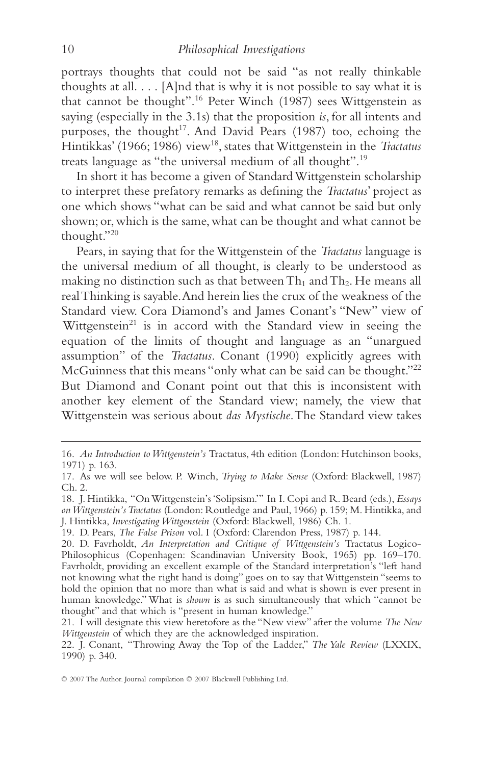portrays thoughts that could not be said "as not really thinkable thoughts at all.... [A]nd that is why it is not possible to say what it is that cannot be thought".16 Peter Winch (1987) sees Wittgenstein as saying (especially in the 3.1s) that the proposition *is*, for all intents and purposes, the thought<sup>17</sup>. And David Pears (1987) too, echoing the Hintikkas' (1966; 1986) view18, states that Wittgenstein in the *Tractatus* treats language as "the universal medium of all thought".<sup>19</sup>

In short it has become a given of StandardWittgenstein scholarship to interpret these prefatory remarks as defining the *Tractatus*' project as one which shows "what can be said and what cannot be said but only shown; or, which is the same, what can be thought and what cannot be thought."20

Pears, in saying that for the Wittgenstein of the *Tractatus* language is the universal medium of all thought, is clearly to be understood as making no distinction such as that between  $Th_1$  and  $Th_2$ . He means all realThinking is sayable.And herein lies the crux of the weakness of the Standard view. Cora Diamond's and James Conant's "New" view of Wittgenstein<sup>21</sup> is in accord with the Standard view in seeing the equation of the limits of thought and language as an "unargued assumption" of the *Tractatus*. Conant (1990) explicitly agrees with McGuinness that this means "only what can be said can be thought."<sup>22</sup> But Diamond and Conant point out that this is inconsistent with another key element of the Standard view; namely, the view that Wittgenstein was serious about *das Mystische*.The Standard view takes

<sup>16.</sup> *An Introduction toWittgenstein's* Tractatus, 4th edition (London: Hutchinson books, 1971) p. 163.

<sup>17.</sup> As we will see below. P. Winch, *Trying to Make Sense* (Oxford: Blackwell, 1987) Ch. 2.

<sup>18.</sup> J. Hintikka, "On Wittgenstein's 'Solipsism.'" In I. Copi and R. Beard (eds.), *Essays onWittgenstein'sTractatus* (London: Routledge and Paul, 1966) p. 159; M. Hintikka, and J. Hintikka, *Investigating Wittgenstein* (Oxford: Blackwell, 1986) Ch. 1.

<sup>19.</sup> D. Pears, *The False Prison* vol. I (Oxford: Clarendon Press, 1987) p. 144.

<sup>20.</sup> D. Favrholdt, *An Interpretation and Critique of Wittgenstein's* Tractatus Logico-Philosophicus (Copenhagen: Scandinavian University Book, 1965) pp. 169–170. Favrholdt, providing an excellent example of the Standard interpretation's "left hand not knowing what the right hand is doing" goes on to say that Wittgenstein "seems to hold the opinion that no more than what is said and what is shown is ever present in human knowledge." What is *shown* is as such simultaneously that which "cannot be thought" and that which is "present in human knowledge."

<sup>21.</sup> I will designate this view heretofore as the "New view" after the volume *The New Wittgenstein* of which they are the acknowledged inspiration.

<sup>22.</sup> J. Conant, "Throwing Away the Top of the Ladder," *The Yale Review* (LXXIX, 1990) p. 340.

<sup>© 2007</sup> The Author. Journal compilation © 2007 Blackwell Publishing Ltd.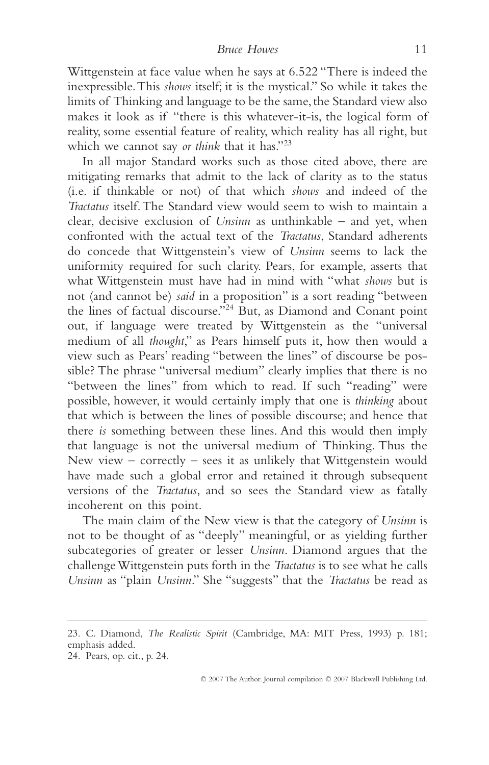Wittgenstein at face value when he says at 6.522 "There is indeed the inexpressible.This *shows* itself; it is the mystical." So while it takes the limits of Thinking and language to be the same, the Standard view also makes it look as if "there is this whatever-it-is, the logical form of reality, some essential feature of reality, which reality has all right, but which we cannot say *or think* that it has."<sup>23</sup>

In all major Standard works such as those cited above, there are mitigating remarks that admit to the lack of clarity as to the status (i.e. if thinkable or not) of that which *shows* and indeed of the *Tractatus* itself.The Standard view would seem to wish to maintain a clear, decisive exclusion of *Unsinn* as unthinkable – and yet, when confronted with the actual text of the *Tractatus*, Standard adherents do concede that Wittgenstein's view of *Unsinn* seems to lack the uniformity required for such clarity. Pears, for example, asserts that what Wittgenstein must have had in mind with "what *shows* but is not (and cannot be) *said* in a proposition" is a sort reading "between the lines of factual discourse."24 But, as Diamond and Conant point out, if language were treated by Wittgenstein as the "universal medium of all *thought*," as Pears himself puts it, how then would a view such as Pears' reading "between the lines" of discourse be possible? The phrase "universal medium" clearly implies that there is no "between the lines" from which to read. If such "reading" were possible, however, it would certainly imply that one is *thinking* about that which is between the lines of possible discourse; and hence that there *is* something between these lines. And this would then imply that language is not the universal medium of Thinking. Thus the New view – correctly – sees it as unlikely that Wittgenstein would have made such a global error and retained it through subsequent versions of the *Tractatus*, and so sees the Standard view as fatally incoherent on this point.

The main claim of the New view is that the category of *Unsinn* is not to be thought of as "deeply" meaningful, or as yielding further subcategories of greater or lesser *Unsinn*. Diamond argues that the challengeWittgenstein puts forth in the *Tractatus* is to see what he calls *Unsinn* as "plain *Unsinn*." She "suggests" that the *Tractatus* be read as

© 2007 The Author. Journal compilation © 2007 Blackwell Publishing Ltd.

<sup>23.</sup> C. Diamond, *The Realistic Spirit* (Cambridge, MA: MIT Press, 1993) p. 181; emphasis added.

<sup>24.</sup> Pears, op. cit., p. 24.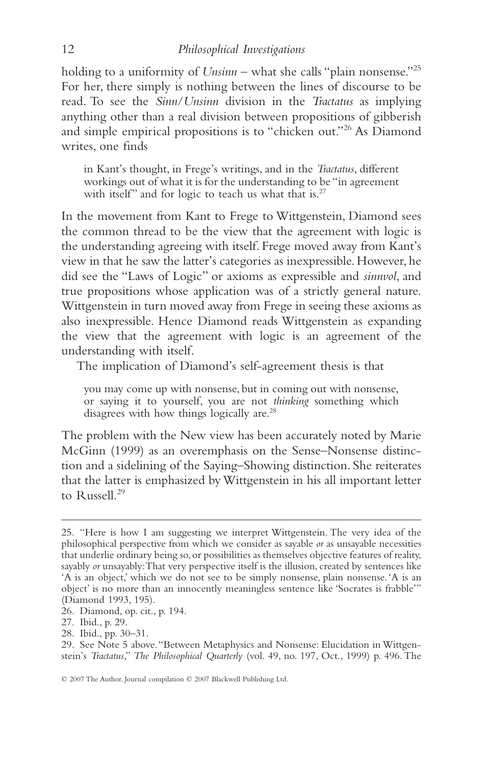holding to a uniformity of *Unsinn* – what she calls "plain nonsense."<sup>25</sup> For her, there simply is nothing between the lines of discourse to be read. To see the *Sinn*/*Unsinn* division in the *Tractatus* as implying anything other than a real division between propositions of gibberish and simple empirical propositions is to "chicken out."26 As Diamond writes, one finds

in Kant's thought, in Frege's writings, and in the *Tractatus*, different workings out of what it is for the understanding to be"in agreement with itself" and for logic to teach us what that is.<sup>27</sup>

In the movement from Kant to Frege to Wittgenstein, Diamond sees the common thread to be the view that the agreement with logic is the understanding agreeing with itself. Frege moved away from Kant's view in that he saw the latter's categories as inexpressible. However, he did see the "Laws of Logic" or axioms as expressible and *sinnvol*, and true propositions whose application was of a strictly general nature. Wittgenstein in turn moved away from Frege in seeing these axioms as also inexpressible. Hence Diamond reads Wittgenstein as expanding the view that the agreement with logic is an agreement of the understanding with itself.

The implication of Diamond's self-agreement thesis is that

you may come up with nonsense, but in coming out with nonsense, or saying it to yourself, you are not *thinking* something which disagrees with how things logically are.<sup>28</sup>

The problem with the New view has been accurately noted by Marie McGinn (1999) as an overemphasis on the Sense–Nonsense distinction and a sidelining of the Saying–Showing distinction. She reiterates that the latter is emphasized by Wittgenstein in his all important letter to Russell. $29$ 

<sup>25. &</sup>quot;Here is how I am suggesting we interpret Wittgenstein. The very idea of the philosophical perspective from which we consider as sayable *or* as unsayable necessities that underlie ordinary being so,or possibilities as themselves objective features of reality, sayably *or* unsayably:That very perspective itself is the illusion, created by sentences like 'A is an object,' which we do not see to be simply nonsense, plain nonsense.'A is an object' is no more than an innocently meaningless sentence like 'Socrates is frabble'" (Diamond 1993, 195).

<sup>26.</sup> Diamond, op. cit., p. 194.

<sup>27.</sup> Ibid., p. 29.

<sup>28.</sup> Ibid., pp. 30–31.

<sup>29.</sup> See Note 5 above."Between Metaphysics and Nonsense: Elucidation in Wittgenstein's *Tractatus*," *The Philosophical Quarterly* (vol. 49, no. 197, Oct., 1999) p. 496. The

<sup>© 2007</sup> The Author. Journal compilation © 2007 Blackwell Publishing Ltd.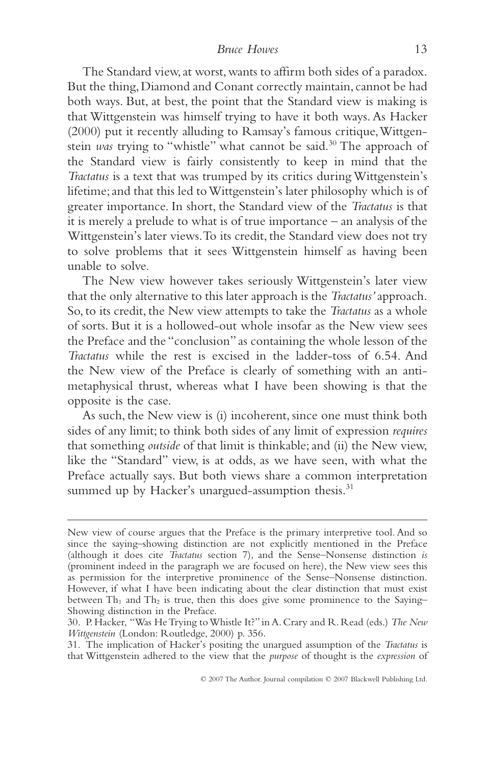*Bruce Howes* 13

The Standard view, at worst, wants to affirm both sides of a paradox. But the thing,Diamond and Conant correctly maintain,cannot be had both ways. But, at best, the point that the Standard view is making is that Wittgenstein was himself trying to have it both ways. As Hacker (2000) put it recently alluding to Ramsay's famous critique,Wittgenstein *was* trying to "whistle" what cannot be said.<sup>30</sup> The approach of the Standard view is fairly consistently to keep in mind that the *Tractatus* is a text that was trumped by its critics during Wittgenstein's lifetime; and that this led toWittgenstein's later philosophy which is of greater importance. In short, the Standard view of the *Tractatus* is that it is merely a prelude to what is of true importance – an analysis of the Wittgenstein's later views.To its credit, the Standard view does not try to solve problems that it sees Wittgenstein himself as having been unable to solve.

The New view however takes seriously Wittgenstein's later view that the only alternative to this later approach is the *Tractatus'*approach. So, to its credit, the New view attempts to take the *Tractatus* as a whole of sorts. But it is a hollowed-out whole insofar as the New view sees the Preface and the "conclusion" as containing the whole lesson of the *Tractatus* while the rest is excised in the ladder-toss of 6.54. And the New view of the Preface is clearly of something with an antimetaphysical thrust, whereas what I have been showing is that the opposite is the case.

As such, the New view is (i) incoherent, since one must think both sides of any limit; to think both sides of any limit of expression *requires* that something *outside* of that limit is thinkable; and (ii) the New view, like the "Standard" view, is at odds, as we have seen, with what the Preface actually says. But both views share a common interpretation summed up by Hacker's unargued-assumption thesis.<sup>31</sup>

New view of course argues that the Preface is the primary interpretive tool. And so since the saying–showing distinction are not explicitly mentioned in the Preface (although it does cite *Tractatus* section 7), and the Sense–Nonsense distinction *is* (prominent indeed in the paragraph we are focused on here), the New view sees this as permission for the interpretive prominence of the Sense–Nonsense distinction. However, if what I have been indicating about the clear distinction that must exist between  $Th_1$  and  $Th_2$  is true, then this does give some prominence to the Saying– Showing distinction in the Preface.

<sup>30.</sup> P. Hacker, "Was HeTrying toWhistle It?" in A. Crary and R. Read (eds.) *The New Wittgenstein* (London: Routledge, 2000) p. 356.

<sup>31.</sup> The implication of Hacker's positing the unargued assumption of the *Tractatus* is that Wittgenstein adhered to the view that the *purpose* of thought is the *expression* of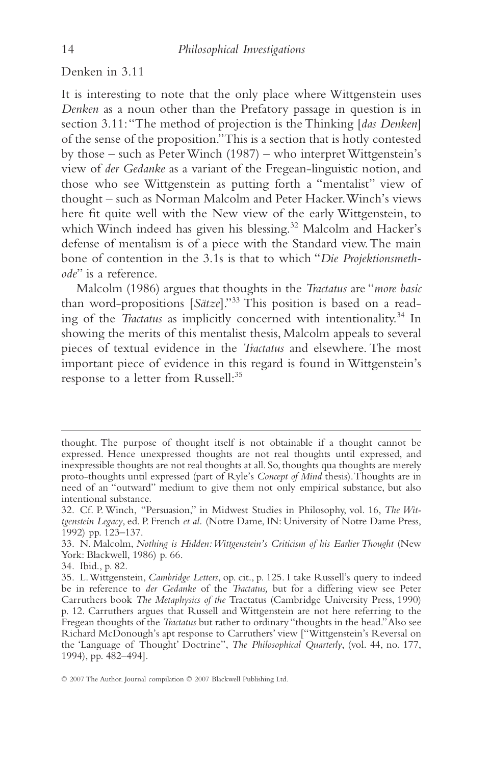Denken in 3.11

It is interesting to note that the only place where Wittgenstein uses *Denken* as a noun other than the Prefatory passage in question is in section 3.11:"The method of projection is the Thinking [*das Denken*] of the sense of the proposition."This is a section that is hotly contested by those – such as Peter Winch (1987) – who interpret Wittgenstein's view of *der Gedanke* as a variant of the Fregean-linguistic notion, and those who see Wittgenstein as putting forth a "mentalist" view of thought – such as Norman Malcolm and Peter Hacker.Winch's views here fit quite well with the New view of the early Wittgenstein, to which Winch indeed has given his blessing.<sup>32</sup> Malcolm and Hacker's defense of mentalism is of a piece with the Standard view.The main bone of contention in the 3.1s is that to which "*Die Projektionsmethode*" is a reference.

Malcolm (1986) argues that thoughts in the *Tractatus* are "*more basic* than word-propositions [*Sätze*]."33 This position is based on a reading of the *Tractatus* as implicitly concerned with intentionality.34 In showing the merits of this mentalist thesis, Malcolm appeals to several pieces of textual evidence in the *Tractatus* and elsewhere. The most important piece of evidence in this regard is found in Wittgenstein's response to a letter from Russell:<sup>35</sup>

thought. The purpose of thought itself is not obtainable if a thought cannot be expressed. Hence unexpressed thoughts are not real thoughts until expressed, and inexpressible thoughts are not real thoughts at all. So, thoughts qua thoughts are merely proto-thoughts until expressed (part of Ryle's *Concept of Mind* thesis).Thoughts are in need of an "outward" medium to give them not only empirical substance, but also intentional substance.

<sup>32.</sup> Cf. P. Winch, "Persuasion," in Midwest Studies in Philosophy, vol. 16, *The Wittgenstein Legacy*, ed. P. French *et al.* (Notre Dame, IN: University of Notre Dame Press, 1992) pp. 123–137.

<sup>33.</sup> N. Malcolm, *Nothing is Hidden:Wittgenstein's Criticism of his Earlier Thought* (New York: Blackwell, 1986) p. 66.

<sup>34.</sup> Ibid., p. 82.

<sup>35.</sup> L.Wittgenstein, *Cambridge Letters*, op. cit., p. 125. I take Russell's query to indeed be in reference to *der Gedanke* of the *Tractatus,* but for a differing view see Peter Carruthers book *The Metaphysics of the* Tractatus (Cambridge University Press, 1990) p. 12. Carruthers argues that Russell and Wittgenstein are not here referring to the Fregean thoughts of the *Tractatus* but rather to ordinary "thoughts in the head."Also see Richard McDonough's apt response to Carruthers' view ["Wittgenstein's Reversal on the 'Language of Thought' Doctrine", *The Philosophical Quarterly*, (vol. 44, no. 177, 1994), pp. 482–494].

<sup>© 2007</sup> The Author. Journal compilation © 2007 Blackwell Publishing Ltd.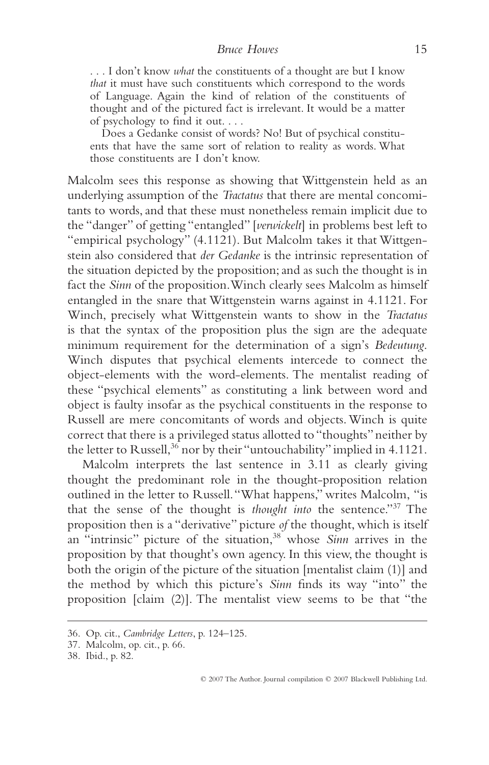...I don't know *what* the constituents of a thought are but I know *that* it must have such constituents which correspond to the words of Language. Again the kind of relation of the constituents of thought and of the pictured fact is irrelevant. It would be a matter of psychology to find it out....

Does a Gedanke consist of words? No! But of psychical constituents that have the same sort of relation to reality as words. What those constituents are I don't know.

Malcolm sees this response as showing that Wittgenstein held as an underlying assumption of the *Tractatus* that there are mental concomitants to words, and that these must nonetheless remain implicit due to the "danger" of getting "entangled" [*verwickelt*] in problems best left to "empirical psychology" (4.1121). But Malcolm takes it that Wittgenstein also considered that *der Gedanke* is the intrinsic representation of the situation depicted by the proposition; and as such the thought is in fact the *Sinn* of the proposition.Winch clearly sees Malcolm as himself entangled in the snare that Wittgenstein warns against in 4.1121. For Winch, precisely what Wittgenstein wants to show in the *Tractatus* is that the syntax of the proposition plus the sign are the adequate minimum requirement for the determination of a sign's *Bedeutung*. Winch disputes that psychical elements intercede to connect the object-elements with the word-elements. The mentalist reading of these "psychical elements" as constituting a link between word and object is faulty insofar as the psychical constituents in the response to Russell are mere concomitants of words and objects. Winch is quite correct that there is a privileged status allotted to "thoughts" neither by the letter to Russell,  $36$  nor by their "untouchability" implied in 4.1121.

Malcolm interprets the last sentence in 3.11 as clearly giving thought the predominant role in the thought-proposition relation outlined in the letter to Russell."What happens," writes Malcolm, "is that the sense of the thought is *thought into* the sentence."37 The proposition then is a "derivative" picture *of* the thought, which is itself an "intrinsic" picture of the situation,38 whose *Sinn* arrives in the proposition by that thought's own agency. In this view, the thought is both the origin of the picture of the situation [mentalist claim (1)] and the method by which this picture's *Sinn* finds its way "into" the proposition [claim (2)]. The mentalist view seems to be that "the

<sup>36.</sup> Op. cit., *Cambridge Letters*, p. 124–125.

<sup>37.</sup> Malcolm, op. cit., p. 66.

<sup>38.</sup> Ibid., p. 82.

<sup>© 2007</sup> The Author. Journal compilation © 2007 Blackwell Publishing Ltd.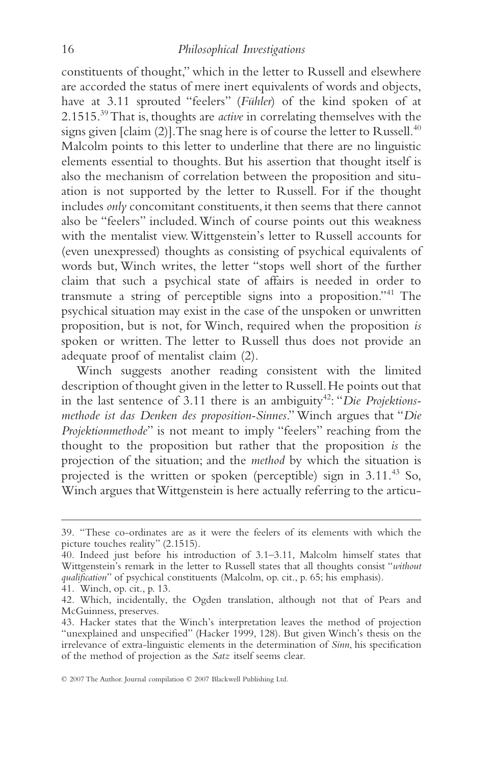constituents of thought," which in the letter to Russell and elsewhere are accorded the status of mere inert equivalents of words and objects, have at 3.11 sprouted "feelers" (*Fühler*) of the kind spoken of at 2.1515.39That is, thoughts are *active* in correlating themselves with the signs given  $\lceil \text{claim}(2) \rceil$ . The snag here is of course the letter to Russell.<sup>40</sup> Malcolm points to this letter to underline that there are no linguistic elements essential to thoughts. But his assertion that thought itself is also the mechanism of correlation between the proposition and situation is not supported by the letter to Russell. For if the thought includes *only* concomitant constituents, it then seems that there cannot also be "feelers" included. Winch of course points out this weakness with the mentalist view. Wittgenstein's letter to Russell accounts for (even unexpressed) thoughts as consisting of psychical equivalents of words but, Winch writes, the letter "stops well short of the further claim that such a psychical state of affairs is needed in order to transmute a string of perceptible signs into a proposition."41 The psychical situation may exist in the case of the unspoken or unwritten proposition, but is not, for Winch, required when the proposition *is* spoken or written. The letter to Russell thus does not provide an adequate proof of mentalist claim (2).

Winch suggests another reading consistent with the limited description of thought given in the letter to Russell.He points out that in the last sentence of 3.11 there is an ambiguity<sup>42</sup>: "Die Projektions*methode ist das Denken des proposition-Sinnes*." Winch argues that "*Die Projektionmethode*" is not meant to imply "feelers" reaching from the thought to the proposition but rather that the proposition *is* the projection of the situation; and the *method* by which the situation is projected is the written or spoken (perceptible) sign in  $3.11^{43}$  So, Winch argues that Wittgenstein is here actually referring to the articu-

<sup>39. &</sup>quot;These co-ordinates are as it were the feelers of its elements with which the picture touches reality" (2.1515).

<sup>40.</sup> Indeed just before his introduction of 3.1–3.11, Malcolm himself states that Wittgenstein's remark in the letter to Russell states that all thoughts consist "*without qualification*" of psychical constituents (Malcolm, op. cit., p. 65; his emphasis).

<sup>41.</sup> Winch, op. cit., p. 13.

<sup>42.</sup> Which, incidentally, the Ogden translation, although not that of Pears and McGuinness, preserves.

<sup>43.</sup> Hacker states that the Winch's interpretation leaves the method of projection "unexplained and unspecified" (Hacker 1999, 128). But given Winch's thesis on the irrelevance of extra-linguistic elements in the determination of *Sinn*, his specification of the method of projection as the *Satz* itself seems clear.

<sup>© 2007</sup> The Author. Journal compilation © 2007 Blackwell Publishing Ltd.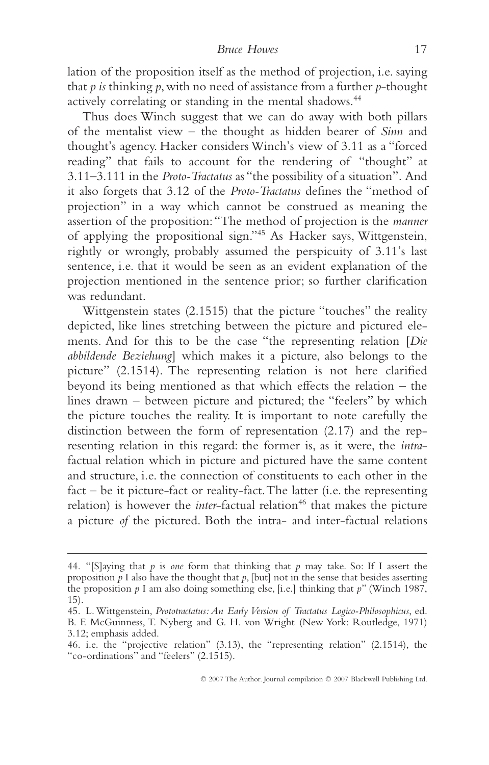lation of the proposition itself as the method of projection, i.e. saying that *p is* thinking *p*,with no need of assistance from a further *p*-thought actively correlating or standing in the mental shadows.<sup>44</sup>

Thus does Winch suggest that we can do away with both pillars of the mentalist view – the thought as hidden bearer of *Sinn* and thought's agency. Hacker considers Winch's view of 3.11 as a "forced reading" that fails to account for the rendering of "thought" at 3.11–3.111 in the *Proto-Tractatus* as "the possibility of a situation". And it also forgets that 3.12 of the *Proto-Tractatus* defines the "method of projection" in a way which cannot be construed as meaning the assertion of the proposition:"The method of projection is the *manner* of applying the propositional sign."45 As Hacker says, Wittgenstein, rightly or wrongly, probably assumed the perspicuity of 3.11's last sentence, i.e. that it would be seen as an evident explanation of the projection mentioned in the sentence prior; so further clarification was redundant.

Wittgenstein states (2.1515) that the picture "touches" the reality depicted, like lines stretching between the picture and pictured elements. And for this to be the case "the representing relation [*Die abbildende Beziehung*] which makes it a picture, also belongs to the picture" (2.1514). The representing relation is not here clarified beyond its being mentioned as that which effects the relation – the lines drawn – between picture and pictured; the "feelers" by which the picture touches the reality. It is important to note carefully the distinction between the form of representation (2.17) and the representing relation in this regard: the former is, as it were, the *intra*factual relation which in picture and pictured have the same content and structure, i.e. the connection of constituents to each other in the fact – be it picture-fact or reality-fact.The latter (i.e. the representing relation) is however the *inter*-factual relation<sup>46</sup> that makes the picture a picture *of* the pictured. Both the intra- and inter-factual relations

<sup>44. &</sup>quot;[S]aying that *p* is *one* form that thinking that *p* may take. So: If I assert the proposition *p* I also have the thought that *p*, [but] not in the sense that besides asserting the proposition *p* I am also doing something else, [i.e.] thinking that *p*" (Winch 1987, 15).

<sup>45.</sup> L. Wittgenstein, *Prototractatus: An Early Version of Tractatus Logico-Philosophicus*, ed. B. F. McGuinness, T. Nyberg and G. H. von Wright (New York: Routledge, 1971) 3.12; emphasis added.

<sup>46.</sup> i.e. the "projective relation" (3.13), the "representing relation" (2.1514), the "co-ordinations" and "feelers" (2.1515).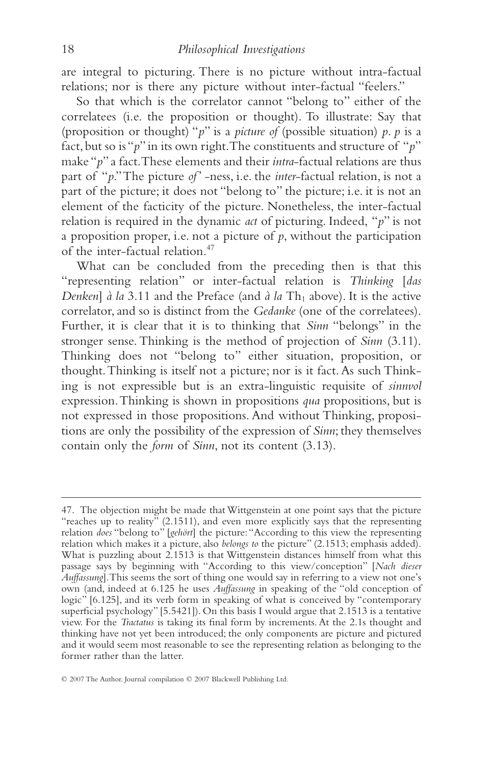are integral to picturing. There is no picture without intra-factual relations; nor is there any picture without inter-factual "feelers."

So that which is the correlator cannot "belong to" either of the correlatees (i.e. the proposition or thought). To illustrate: Say that (proposition or thought) "*p*" is a *picture of* (possible situation) *p*. *p* is a fact, but so is "*p*" in its own right. The constituents and structure of "*p*" make"*p*"a fact.These elements and their *intra*-factual relations are thus part of "*p*."The picture *of* '-ness, i.e. the *inter*-factual relation, is not a part of the picture; it does not "belong to" the picture; i.e. it is not an element of the facticity of the picture. Nonetheless, the inter-factual relation is required in the dynamic *act* of picturing. Indeed, "*p*" is not a proposition proper, i.e. not a picture of *p*, without the participation of the inter-factual relation.47

What can be concluded from the preceding then is that this "representing relation" or inter-factual relation is *Thinking* [*das Denken*] *à la* 3.11 and the Preface (and  $\hat{a}$  *la* Th<sub>1</sub> above). It is the active correlator, and so is distinct from the *Gedanke* (one of the correlatees). Further, it is clear that it is to thinking that *Sinn* "belongs" in the stronger sense. Thinking is the method of projection of *Sinn* (3.11). Thinking does not "belong to" either situation, proposition, or thought.Thinking is itself not a picture; nor is it fact.As such Thinking is not expressible but is an extra-linguistic requisite of *sinnvol* expression.Thinking is shown in propositions *qua* propositions, but is not expressed in those propositions. And without Thinking, propositions are only the possibility of the expression of *Sinn*; they themselves contain only the *form* of *Sinn*, not its content (3.13).

<sup>47.</sup> The objection might be made that Wittgenstein at one point says that the picture "reaches up to reality" (2.1511), and even more explicitly says that the representing relation *does* "belong to" [*gehört*] the picture:"According to this view the representing relation which makes it a picture, also *belongs to* the picture" (2.1513; emphasis added). What is puzzling about 2.1513 is that Wittgenstein distances himself from what this passage says by beginning with "According to this view/conception" [*Nach dieser Auffassung*].This seems the sort of thing one would say in referring to a view not one's own (and, indeed at 6.125 he uses *Auffassung* in speaking of the "old conception of logic" [6.125], and its verb form in speaking of what is conceived by "contemporary superficial psychology" [5.5421]). On this basis I would argue that 2.1513 is a tentative view. For the *Tractatus* is taking its final form by increments. At the 2.1s thought and thinking have not yet been introduced; the only components are picture and pictured and it would seem most reasonable to see the representing relation as belonging to the former rather than the latter.

<sup>© 2007</sup> The Author. Journal compilation © 2007 Blackwell Publishing Ltd.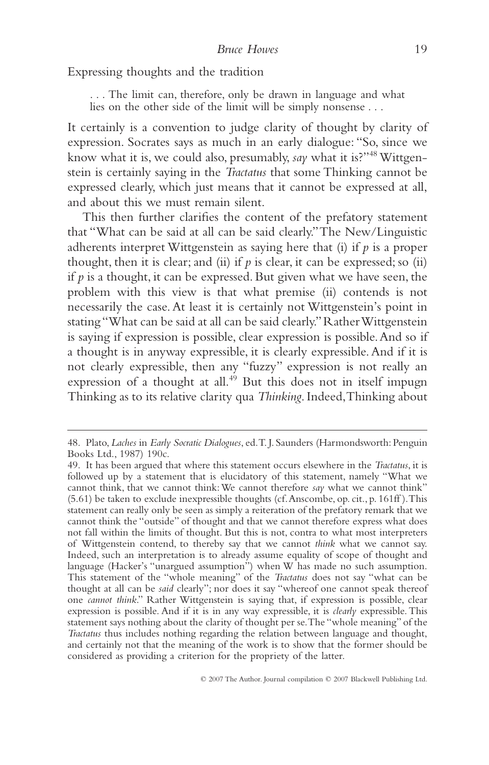Expressing thoughts and the tradition

. . . The limit can, therefore, only be drawn in language and what lies on the other side of the limit will be simply nonsense...

It certainly is a convention to judge clarity of thought by clarity of expression. Socrates says as much in an early dialogue: "So, since we know what it is, we could also, presumably, *say* what it is?"48Wittgenstein is certainly saying in the *Tractatus* that some Thinking cannot be expressed clearly, which just means that it cannot be expressed at all, and about this we must remain silent.

This then further clarifies the content of the prefatory statement that "What can be said at all can be said clearly."The New/Linguistic adherents interpret Wittgenstein as saying here that (i) if *p* is a proper thought, then it is clear; and (ii) if  $p$  is clear, it can be expressed; so (ii) if *p* is a thought, it can be expressed. But given what we have seen, the problem with this view is that what premise (ii) contends is not necessarily the case. At least it is certainly not Wittgenstein's point in stating"What can be said at all can be said clearly."RatherWittgenstein is saying if expression is possible, clear expression is possible.And so if a thought is in anyway expressible, it is clearly expressible.And if it is not clearly expressible, then any "fuzzy" expression is not really an expression of a thought at all.<sup>49</sup> But this does not in itself impugn Thinking as to its relative clarity qua *Thinking*. Indeed,Thinking about

<sup>48.</sup> Plato, *Laches* in *Early Socratic Dialogues*, ed.T. J. Saunders (Harmondsworth: Penguin Books Ltd., 1987) 190c.

<sup>49.</sup> It has been argued that where this statement occurs elsewhere in the *Tractatus*, it is followed up by a statement that is elucidatory of this statement, namely "What we cannot think, that we cannot think:We cannot therefore *say* what we cannot think" (5.61) be taken to exclude inexpressible thoughts (cf.Anscombe, op. cit., p. 161ff ).This statement can really only be seen as simply a reiteration of the prefatory remark that we cannot think the "outside" of thought and that we cannot therefore express what does not fall within the limits of thought. But this is not, contra to what most interpreters of Wittgenstein contend, to thereby say that we cannot *think* what we cannot say. Indeed, such an interpretation is to already assume equality of scope of thought and language (Hacker's "unargued assumption") when W has made no such assumption. This statement of the "whole meaning" of the *Tractatus* does not say "what can be thought at all can be *said* clearly"; nor does it say "whereof one cannot speak thereof one *cannot think*." Rather Wittgenstein is saying that, if expression is possible, clear expression is possible. And if it is in any way expressible, it is *clearly* expressible. This statement says nothing about the clarity of thought per se.The "whole meaning" of the *Tractatus* thus includes nothing regarding the relation between language and thought, and certainly not that the meaning of the work is to show that the former should be considered as providing a criterion for the propriety of the latter.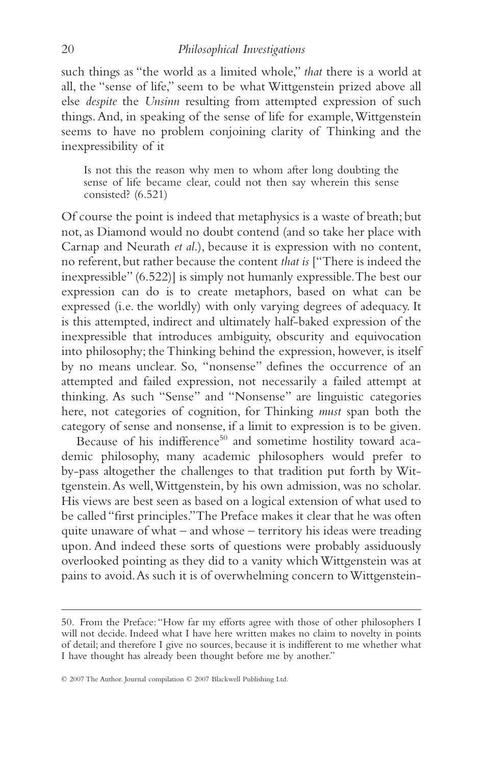such things as "the world as a limited whole," *that* there is a world at all, the "sense of life," seem to be what Wittgenstein prized above all else *despite* the *Unsinn* resulting from attempted expression of such things.And, in speaking of the sense of life for example,Wittgenstein seems to have no problem conjoining clarity of Thinking and the inexpressibility of it

Is not this the reason why men to whom after long doubting the sense of life became clear, could not then say wherein this sense consisted? (6.521)

Of course the point is indeed that metaphysics is a waste of breath; but not, as Diamond would no doubt contend (and so take her place with Carnap and Neurath *et al*.), because it is expression with no content, no referent,but rather because the content *that is* ["There is indeed the inexpressible" (6.522)] is simply not humanly expressible.The best our expression can do is to create metaphors, based on what can be expressed (i.e. the worldly) with only varying degrees of adequacy. It is this attempted, indirect and ultimately half-baked expression of the inexpressible that introduces ambiguity, obscurity and equivocation into philosophy; the Thinking behind the expression, however, is itself by no means unclear. So, "nonsense" defines the occurrence of an attempted and failed expression, not necessarily a failed attempt at thinking. As such "Sense" and "Nonsense" are linguistic categories here, not categories of cognition, for Thinking *must* span both the category of sense and nonsense, if a limit to expression is to be given.

Because of his indifference<sup>50</sup> and sometime hostility toward academic philosophy, many academic philosophers would prefer to by-pass altogether the challenges to that tradition put forth by Wittgenstein.As well,Wittgenstein, by his own admission, was no scholar. His views are best seen as based on a logical extension of what used to be called "first principles."The Preface makes it clear that he was often quite unaware of what – and whose – territory his ideas were treading upon. And indeed these sorts of questions were probably assiduously overlooked pointing as they did to a vanity which Wittgenstein was at pains to avoid. As such it is of overwhelming concern to Wittgenstein-

<sup>50.</sup> From the Preface: "How far my efforts agree with those of other philosophers I will not decide. Indeed what I have here written makes no claim to novelty in points of detail; and therefore I give no sources, because it is indifferent to me whether what I have thought has already been thought before me by another."

<sup>© 2007</sup> The Author. Journal compilation © 2007 Blackwell Publishing Ltd.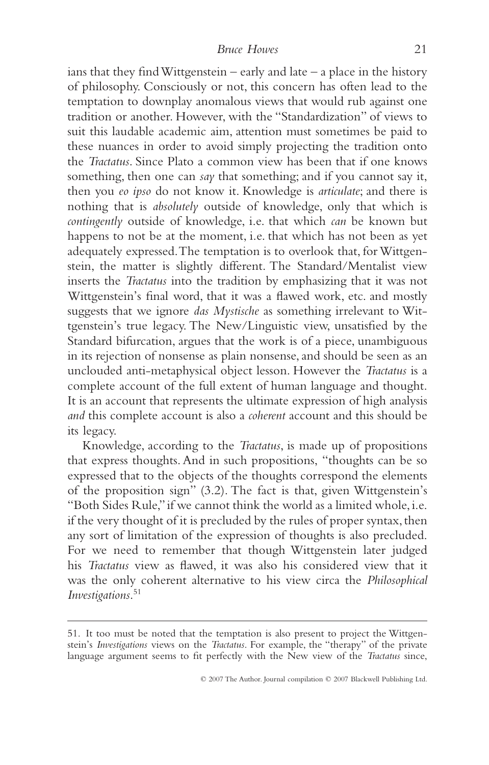ians that they find Wittgenstein – early and late – a place in the history of philosophy. Consciously or not, this concern has often lead to the temptation to downplay anomalous views that would rub against one tradition or another. However, with the "Standardization" of views to suit this laudable academic aim, attention must sometimes be paid to these nuances in order to avoid simply projecting the tradition onto the *Tractatus*. Since Plato a common view has been that if one knows something, then one can *say* that something; and if you cannot say it, then you *eo ipso* do not know it. Knowledge is *articulate*; and there is nothing that is *absolutely* outside of knowledge, only that which is *contingently* outside of knowledge, i.e. that which *can* be known but happens to not be at the moment, i.e. that which has not been as yet adequately expressed. The temptation is to overlook that, for Wittgenstein, the matter is slightly different. The Standard/Mentalist view inserts the *Tractatus* into the tradition by emphasizing that it was not Wittgenstein's final word, that it was a flawed work, etc. and mostly suggests that we ignore *das Mystische* as something irrelevant to Wittgenstein's true legacy. The New/Linguistic view, unsatisfied by the Standard bifurcation, argues that the work is of a piece, unambiguous in its rejection of nonsense as plain nonsense, and should be seen as an unclouded anti-metaphysical object lesson. However the *Tractatus* is a complete account of the full extent of human language and thought. It is an account that represents the ultimate expression of high analysis *and* this complete account is also a *coherent* account and this should be its legacy.

Knowledge, according to the *Tractatus*, is made up of propositions that express thoughts. And in such propositions, "thoughts can be so expressed that to the objects of the thoughts correspond the elements of the proposition sign" (3.2). The fact is that, given Wittgenstein's "Both Sides Rule," if we cannot think the world as a limited whole, i.e. if the very thought of it is precluded by the rules of proper syntax, then any sort of limitation of the expression of thoughts is also precluded. For we need to remember that though Wittgenstein later judged his *Tractatus* view as flawed, it was also his considered view that it was the only coherent alternative to his view circa the *Philosophical Investigations*. 51

<sup>51.</sup> It too must be noted that the temptation is also present to project the Wittgenstein's *Investigations* views on the *Tractatus*. For example, the "therapy" of the private language argument seems to fit perfectly with the New view of the *Tractatus* since,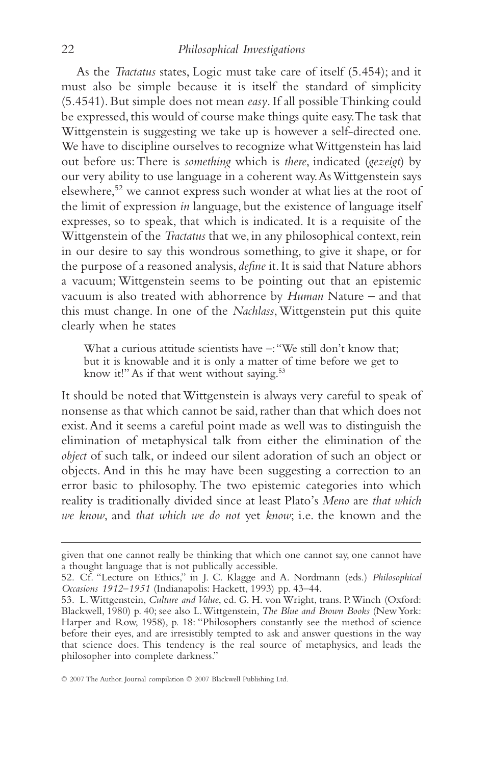As the *Tractatus* states, Logic must take care of itself (5.454); and it must also be simple because it is itself the standard of simplicity (5.4541). But simple does not mean *easy*. If all possibleThinking could be expressed, this would of course make things quite easy. The task that Wittgenstein is suggesting we take up is however a self-directed one. We have to discipline ourselves to recognize what Wittgenstein has laid out before us:There is *something* which is *there*, indicated (*gezeigt*) by our very ability to use language in a coherent way.AsWittgenstein says elsewhere,52 we cannot express such wonder at what lies at the root of the limit of expression *in* language, but the existence of language itself expresses, so to speak, that which is indicated. It is a requisite of the Wittgenstein of the *Tractatus* that we, in any philosophical context, rein in our desire to say this wondrous something, to give it shape, or for the purpose of a reasoned analysis, *define* it. It is said that Nature abhors a vacuum; Wittgenstein seems to be pointing out that an epistemic vacuum is also treated with abhorrence by *Human* Nature – and that this must change. In one of the *Nachlass*,Wittgenstein put this quite clearly when he states

What a curious attitude scientists have  $-$ : "We still don't know that; but it is knowable and it is only a matter of time before we get to know it!" As if that went without saying.<sup>53</sup>

It should be noted that Wittgenstein is always very careful to speak of nonsense as that which cannot be said, rather than that which does not exist.And it seems a careful point made as well was to distinguish the elimination of metaphysical talk from either the elimination of the *object* of such talk, or indeed our silent adoration of such an object or objects. And in this he may have been suggesting a correction to an error basic to philosophy. The two epistemic categories into which reality is traditionally divided since at least Plato's *Meno* are *that which we know*, and *that which we do not* yet *know*; i.e. the known and the

given that one cannot really be thinking that which one cannot say, one cannot have a thought language that is not publically accessible.

<sup>52.</sup> Cf. "Lecture on Ethics," in J. C. Klagge and A. Nordmann (eds.) *Philosophical Occasions 1912–1951* (Indianapolis: Hackett, 1993) pp. 43–44.

<sup>53.</sup> L.Wittgenstein, *Culture and Value*, ed. G. H. von Wright, trans. P.Winch (Oxford: Blackwell, 1980) p. 40; see also L.Wittgenstein, *The Blue and Brown Books* (NewYork: Harper and Row, 1958), p. 18: "Philosophers constantly see the method of science before their eyes, and are irresistibly tempted to ask and answer questions in the way that science does. This tendency is the real source of metaphysics, and leads the philosopher into complete darkness."

<sup>© 2007</sup> The Author. Journal compilation © 2007 Blackwell Publishing Ltd.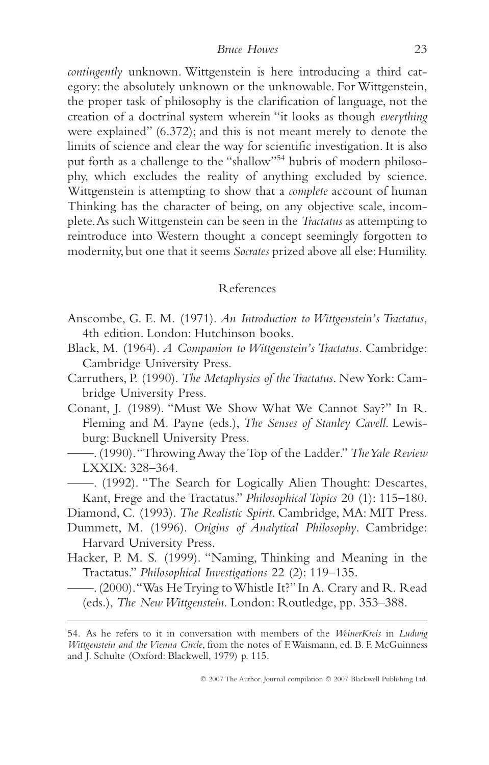*Bruce Howes* 23

*contingently* unknown. Wittgenstein is here introducing a third category: the absolutely unknown or the unknowable. For Wittgenstein, the proper task of philosophy is the clarification of language, not the creation of a doctrinal system wherein "it looks as though *everything* were explained" (6.372); and this is not meant merely to denote the limits of science and clear the way for scientific investigation. It is also put forth as a challenge to the "shallow"54 hubris of modern philosophy, which excludes the reality of anything excluded by science. Wittgenstein is attempting to show that a *complete* account of human Thinking has the character of being, on any objective scale, incomplete.As suchWittgenstein can be seen in the *Tractatus* as attempting to reintroduce into Western thought a concept seemingly forgotten to modernity,but one that it seems *Socrates* prized above all else:Humility.

#### References

- Anscombe, G. E. M. (1971). *An Introduction to Wittgenstein's Tractatus*, 4th edition. London: Hutchinson books.
- Black, M. (1964). *A Companion to Wittgenstein's Tractatus*. Cambridge: Cambridge University Press.
- Carruthers, P. (1990). *The Metaphysics of the Tractatus*. NewYork: Cambridge University Press.
- Conant, J. (1989). "Must We Show What We Cannot Say?" In R. Fleming and M. Payne (eds.), *The Senses of Stanley Cavell*. Lewisburg: Bucknell University Press.
- ——. (1990)."Throwing Away theTop of the Ladder."*TheYale Review* LXXIX: 328–364.

——. (1992). "The Search for Logically Alien Thought: Descartes, Kant, Frege and the Tractatus." *Philosophical Topics* 20 (1): 115–180.

Diamond, C. (1993). *The Realistic Spirit*. Cambridge, MA: MIT Press.

- Dummett, M. (1996). *Origins of Analytical Philosophy*. Cambridge: Harvard University Press.
- Hacker, P. M. S. (1999). "Naming, Thinking and Meaning in the Tractatus." *Philosophical Investigations* 22 (2): 119–135.

——.(2000)."Was HeTrying toWhistle It?"In A. Crary and R. Read (eds.), *The New Wittgenstein*. London: Routledge, pp. 353–388.

<sup>54.</sup> As he refers to it in conversation with members of the *WeinerKreis* in *Ludwig Wittgenstein and the Vienna Circle*, from the notes of F.Waismann, ed. B. F. McGuinness and J. Schulte (Oxford: Blackwell, 1979) p. 115.